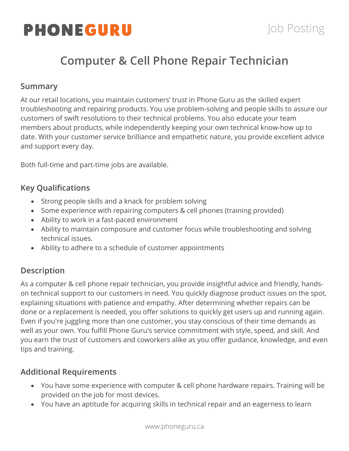## **PHONEGURU**

### **Computer & Cell Phone Repair Technician**

#### **Summary**

At our retail locations, you maintain customers' trust in Phone Guru as the skilled expert troubleshooting and repairing products. You use problem-solving and people skills to assure our customers of swift resolutions to their technical problems. You also educate your team members about products, while independently keeping your own technical know-how up to date. With your customer service brilliance and empathetic nature, you provide excellent advice and support every day.

Both full-time and part-time jobs are available.

#### **Key Qualifications**

- Strong people skills and a knack for problem solving
- Some experience with repairing computers & cell phones (training provided)
- Ability to work in a fast-paced environment
- Ability to maintain composure and customer focus while troubleshooting and solving technical issues.
- Ability to adhere to a schedule of customer appointments

#### **Description**

As a computer & cell phone repair technician, you provide insightful advice and friendly, handson technical support to our customers in need. You quickly diagnose product issues on the spot, explaining situations with patience and empathy. After determining whether repairs can be done or a replacement is needed, you offer solutions to quickly get users up and running again. Even if you're juggling more than one customer, you stay conscious of their time demands as well as your own. You fulfill Phone Guru's service commitment with style, speed, and skill. And you earn the trust of customers and coworkers alike as you offer guidance, knowledge, and even tips and training.

#### **Additional Requirements**

- You have some experience with computer & cell phone hardware repairs. Training will be provided on the job for most devices.
- You have an aptitude for acquiring skills in technical repair and an eagerness to learn